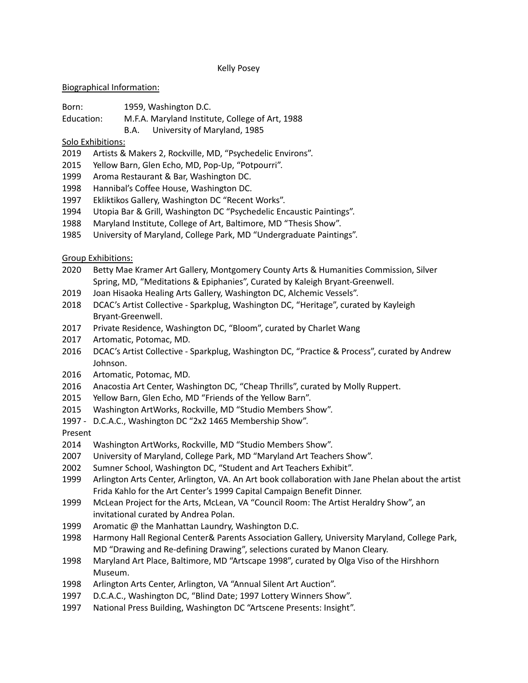#### Kelly Posey

### Biographical Information:

- Born: 1959, Washington D.C.
- Education: M.F.A. Maryland Institute, College of Art, 1988
	- B.A. University of Maryland, 1985

# Solo Exhibitions:

- Artists & Makers 2, Rockville, MD, "Psychedelic Environs".
- Yellow Barn, Glen Echo, MD, Pop-Up, "Potpourri".
- Aroma Restaurant & Bar, Washington DC.
- Hannibal's Coffee House, Washington DC.
- Ekliktikos Gallery, Washington DC "Recent Works".
- Utopia Bar & Grill, Washington DC "Psychedelic Encaustic Paintings".
- Maryland Institute, College of Art, Baltimore, MD "Thesis Show".
- University of Maryland, College Park, MD "Undergraduate Paintings".

Group Exhibitions:

- Betty Mae Kramer Art Gallery, Montgomery County Arts & Humanities Commission, Silver Spring, MD, "Meditations & Epiphanies", Curated by Kaleigh Bryant-Greenwell.
- Joan Hisaoka Healing Arts Gallery, Washington DC, Alchemic Vessels".
- DCAC's Artist Collective Sparkplug, Washington DC, "Heritage", curated by Kayleigh Bryant-Greenwell.
- Private Residence, Washington DC, "Bloom", curated by Charlet Wang
- Artomatic, Potomac, MD.
- DCAC's Artist Collective Sparkplug, Washington DC, "Practice & Process", curated by Andrew Johnson.
- Artomatic, Potomac, MD.
- Anacostia Art Center, Washington DC, "Cheap Thrills", curated by Molly Ruppert.
- Yellow Barn, Glen Echo, MD "Friends of the Yellow Barn".
- Washington ArtWorks, Rockville, MD "Studio Members Show".
- D.C.A.C., Washington DC "2x2 1465 Membership Show".

## Present

- Washington ArtWorks, Rockville, MD "Studio Members Show".
- University of Maryland, College Park, MD "Maryland Art Teachers Show".
- Sumner School, Washington DC, "Student and Art Teachers Exhibit".
- Arlington Arts Center, Arlington, VA. An Art book collaboration with Jane Phelan about the artist Frida Kahlo for the Art Center's 1999 Capital Campaign Benefit Dinner.
- McLean Project for the Arts, McLean, VA "Council Room: The Artist Heraldry Show", an invitational curated by Andrea Polan.
- Aromatic @ the Manhattan Laundry, Washington D.C.
- Harmony Hall Regional Center& Parents Association Gallery, University Maryland, College Park, MD "Drawing and Re-defining Drawing", selections curated by Manon Cleary.
- Maryland Art Place, Baltimore, MD "Artscape 1998", curated by Olga Viso of the Hirshhorn Museum.
- Arlington Arts Center, Arlington, VA "Annual Silent Art Auction".
- D.C.A.C., Washington DC, "Blind Date; 1997 Lottery Winners Show".
- National Press Building, Washington DC "Artscene Presents: Insight".